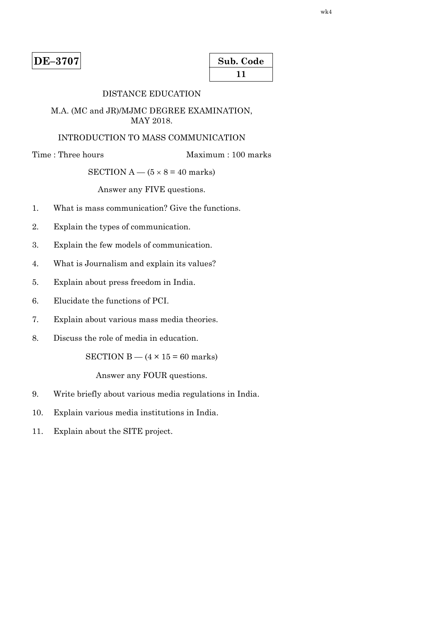| Sub. Code    |  |
|--------------|--|
| $\mathbf{I}$ |  |

# DISTANCE EDUCATION

#### M.A. (MC and JR)/MJMC DEGREE EXAMINATION, MAY 2018.

# INTRODUCTION TO MASS COMMUNICATION

Time : Three hours Maximum : 100 marks

# SECTION  $A - (5 \times 8 = 40$  marks)

Answer any FIVE questions.

- 1. What is mass communication? Give the functions.
- 2. Explain the types of communication.
- 3. Explain the few models of communication.
- 4. What is Journalism and explain its values?
- 5. Explain about press freedom in India.
- 6. Elucidate the functions of PCI.
- 7. Explain about various mass media theories.
- 8. Discuss the role of media in education.

SECTION  $B - (4 \times 15 = 60$  marks)

- 9. Write briefly about various media regulations in India.
- 10. Explain various media institutions in India.
- 11. Explain about the SITE project.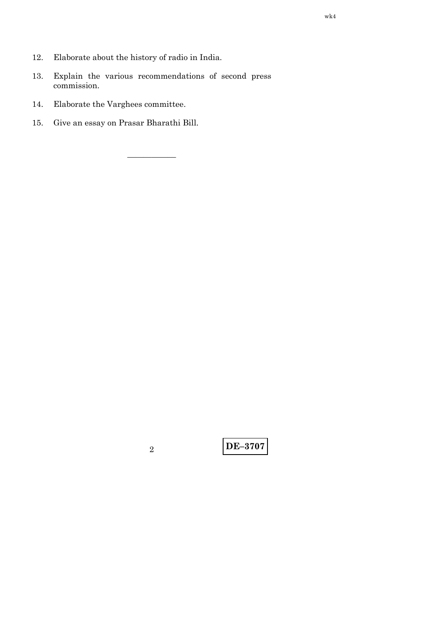- 12. Elaborate about the history of radio in India.
- 13. Explain the various recommendations of second press commission.

——————

- 14. Elaborate the Varghees committee.
- 15. Give an essay on Prasar Bharathi Bill.

**DE–3707** <sup>2</sup>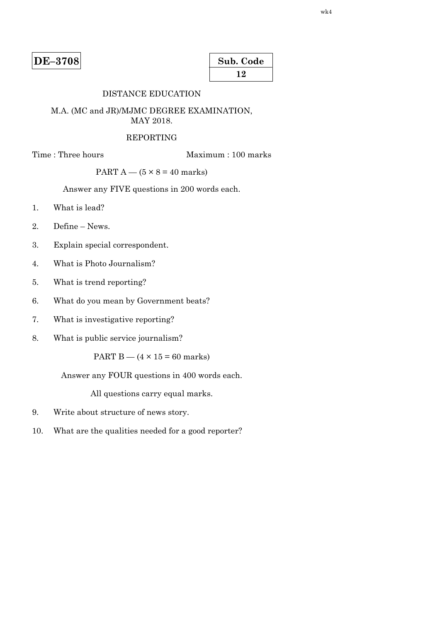| Sub. Code |  |
|-----------|--|
| 12        |  |

# DISTANCE EDUCATION

#### M.A. (MC and JR)/MJMC DEGREE EXAMINATION, MAY 2018.

#### REPORTING

Time : Three hours Maximum : 100 marks

PART  $A - (5 \times 8 = 40$  marks)

Answer any FIVE questions in 200 words each.

- 1. What is lead?
- 2. Define News.
- 3. Explain special correspondent.
- 4. What is Photo Journalism?
- 5. What is trend reporting?
- 6. What do you mean by Government beats?
- 7. What is investigative reporting?
- 8. What is public service journalism?

PART B  $-$  (4  $\times$  15 = 60 marks)

Answer any FOUR questions in 400 words each.

- 9. Write about structure of news story.
- 10. What are the qualities needed for a good reporter?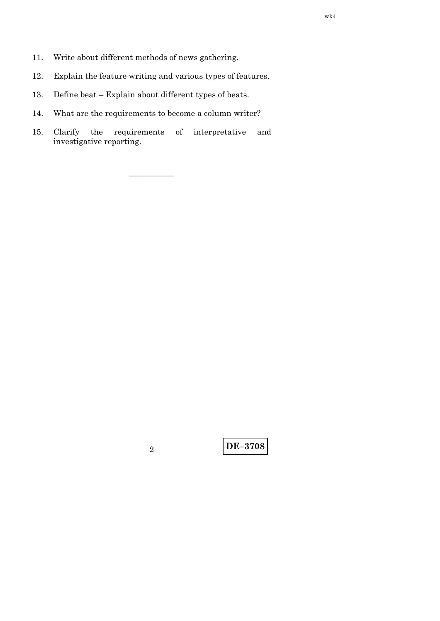- 11. Write about different methods of news gathering.
- 12. Explain the feature writing and various types of features.
- 13. Define beat Explain about different types of beats.
- 14. What are the requirements to become a column writer?
- 15. Clarify the requirements of interpretative and investigative reporting.

–—————

**DE–3708** <sup>2</sup>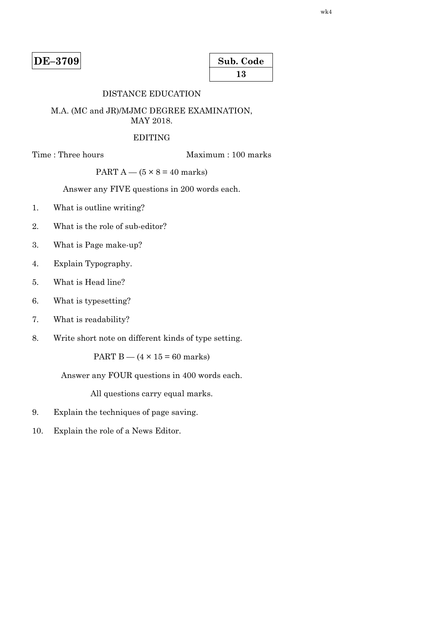| Sub. Code |  |
|-----------|--|
| 13        |  |

# DISTANCE EDUCATION

#### M.A. (MC and JR)/MJMC DEGREE EXAMINATION, MAY 2018.

#### EDITING

Time : Three hours Maximum : 100 marks

PART  $A - (5 \times 8 = 40$  marks)

Answer any FIVE questions in 200 words each.

- 1. What is outline writing?
- 2. What is the role of sub-editor?
- 3. What is Page make-up?
- 4. Explain Typography.
- 5. What is Head line?
- 6. What is typesetting?
- 7. What is readability?
- 8. Write short note on different kinds of type setting.

PART B —  $(4 \times 15 = 60$  marks)

Answer any FOUR questions in 400 words each.

- 9. Explain the techniques of page saving.
- 10. Explain the role of a News Editor.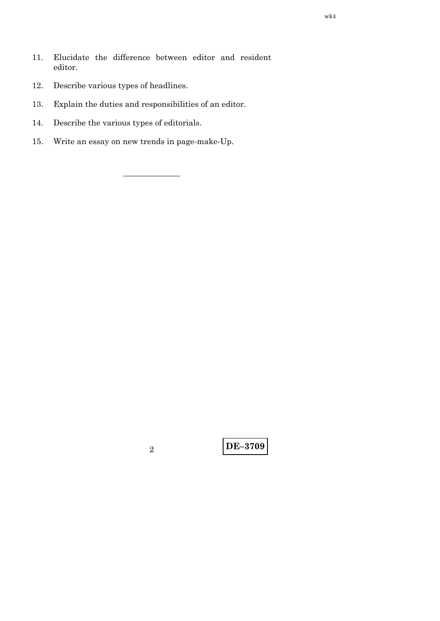- Elucidate the difference between editor and resident 11. editor.
- Describe various types of headlines. 12.
- 13. Explain the duties and responsibilities of an editor.
- 14. Describe the various types of editorials.
- Write an essay on new trends in page-make-Up. 15.

 $\overline{2}$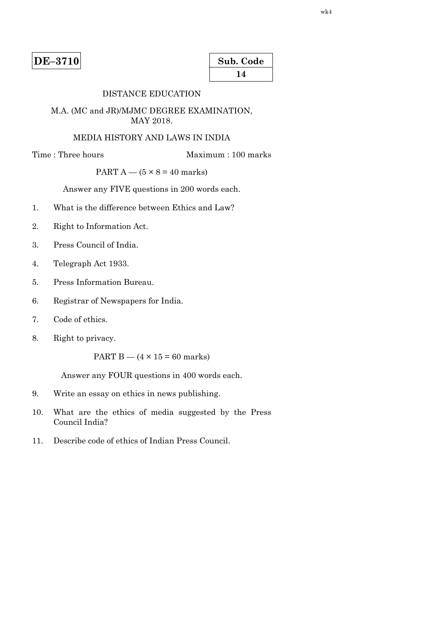| Sub. Code |  |
|-----------|--|
| 14        |  |

# DISTANCE EDUCATION

#### M.A. (MC and JR)/MJMC DEGREE EXAMINATION, MAY 2018.

# MEDIA HISTORY AND LAWS IN INDIA

Time : Three hours Maximum : 100 marks

# PART  $A - (5 \times 8 = 40$  marks)

Answer any FIVE questions in 200 words each.

- 1. What is the difference between Ethics and Law?
- 2. Right to Information Act.
- 3. Press Council of India.
- 4. Telegraph Act 1933.
- 5. Press Information Bureau.
- 6. Registrar of Newspapers for India.
- 7. Code of ethics.
- 8. Right to privacy.

PART B  $-$  (4  $\times$  15 = 60 marks)

Answer any FOUR questions in 400 words each.

- 9. Write an essay on ethics in news publishing.
- 10. What are the ethics of media suggested by the Press Council India?
- 11. Describe code of ethics of Indian Press Council.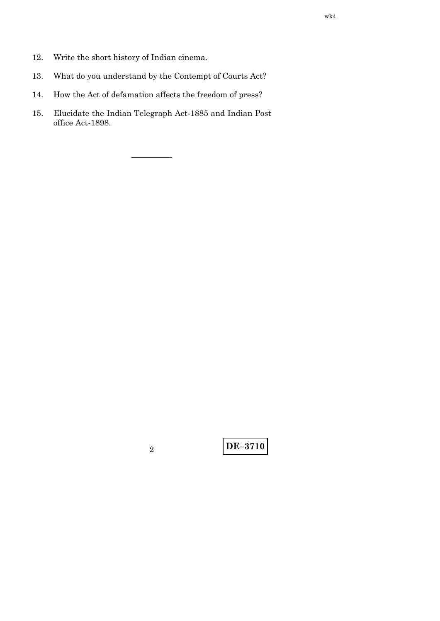- $12.$ Write the short history of Indian cinema.
- What do you understand by the Contempt of Courts Act? 13.
- How the Act of defamation affects the freedom of press? 14.
- Elucidate the Indian Telegraph Act-1885 and Indian Post 15. office Act-1898.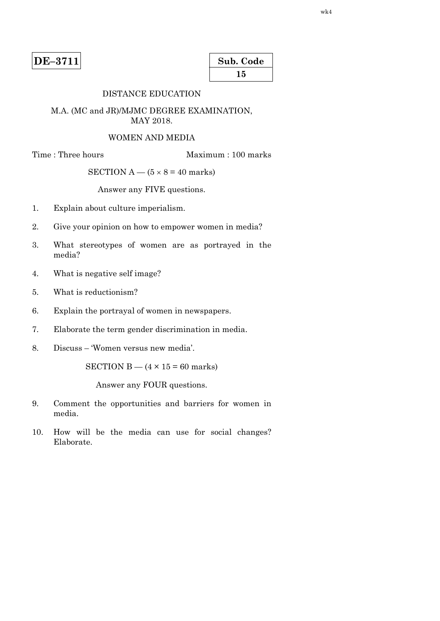| Sub. Code |  |
|-----------|--|
| 15        |  |

# DISTANCE EDUCATION

#### M.A. (MC and JR)/MJMC DEGREE EXAMINATION, MAY 2018.

#### WOMEN AND MEDIA

Time : Three hours Maximum : 100 marks

#### SECTION  $A - (5 \times 8 = 40$  marks)

Answer any FIVE questions.

- 1. Explain about culture imperialism.
- 2. Give your opinion on how to empower women in media?
- 3. What stereotypes of women are as portrayed in the media?
- 4. What is negative self image?
- 5. What is reductionism?
- 6. Explain the portrayal of women in newspapers.
- 7. Elaborate the term gender discrimination in media.
- 8. Discuss 'Women versus new media'.

SECTION B  $-$  (4  $\times$  15 = 60 marks)

- 9. Comment the opportunities and barriers for women in media.
- 10. How will be the media can use for social changes? Elaborate.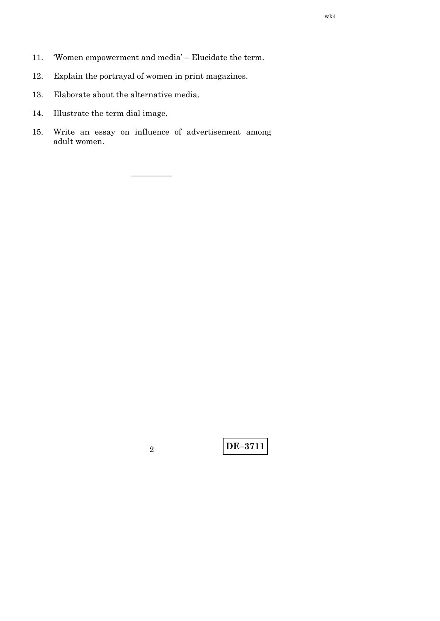- 'Women empowerment and media' Elucidate the term. 11.
- Explain the portrayal of women in print magazines.  $12. \,$
- 13. Elaborate about the alternative media.
- 14. Illustrate the term dial image.
- Write an essay on influence of advertisement among 15. adult women.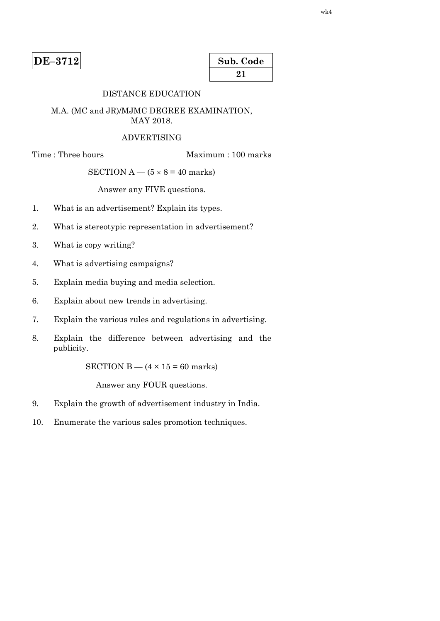| Sub. Code |  |
|-----------|--|
| 21        |  |

# DISTANCE EDUCATION

#### M.A. (MC and JR)/MJMC DEGREE EXAMINATION, MAY 2018.

#### ADVERTISING

Time : Three hours Maximum : 100 marks

#### SECTION  $A - (5 \times 8 = 40$  marks)

Answer any FIVE questions.

- 1. What is an advertisement? Explain its types.
- 2. What is stereotypic representation in advertisement?
- 3. What is copy writing?
- 4. What is advertising campaigns?
- 5. Explain media buying and media selection.
- 6. Explain about new trends in advertising.
- 7. Explain the various rules and regulations in advertising.
- 8. Explain the difference between advertising and the publicity.

SECTION B  $-$  (4  $\times$  15 = 60 marks)

- 9. Explain the growth of advertisement industry in India.
- 10. Enumerate the various sales promotion techniques.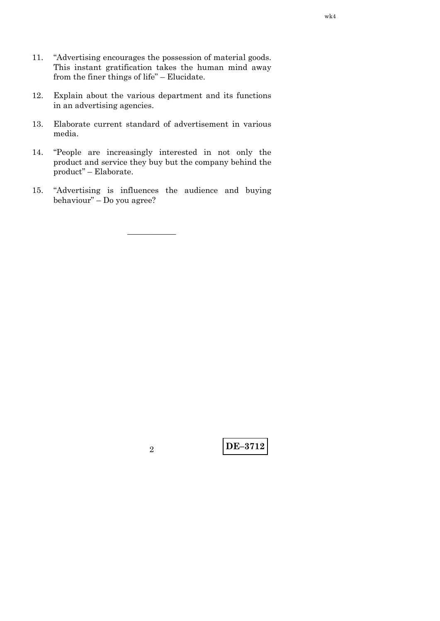- 11. "Advertising encourages the possession of material goods. This instant gratification takes the human mind away from the finer things of life" – Elucidate.
- 12. Explain about the various department and its functions in an advertising agencies.
- 13. Elaborate current standard of advertisement in various media.
- 14. "People are increasingly interested in not only the product and service they buy but the company behind the product" – Elaborate.
- 15. "Advertising is influences the audience and buying behaviour" – Do you agree?

——————

**DE–3712** <sup>2</sup>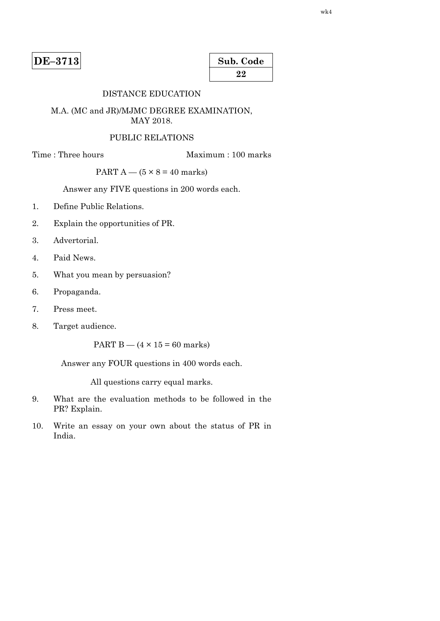| Sub. Code |  |
|-----------|--|
| 22        |  |

# DISTANCE EDUCATION

#### M.A. (MC and JR)/MJMC DEGREE EXAMINATION, MAY 2018.

#### PUBLIC RELATIONS

Time : Three hours Maximum : 100 marks

# PART  $A - (5 \times 8 = 40$  marks)

Answer any FIVE questions in 200 words each.

- 1. Define Public Relations.
- 2. Explain the opportunities of PR.
- 3. Advertorial.
- 4. Paid News.
- 5. What you mean by persuasion?
- 6. Propaganda.
- 7. Press meet.
- 8. Target audience.

PART  $B - (4 \times 15 = 60$  marks)

Answer any FOUR questions in 400 words each.

- 9. What are the evaluation methods to be followed in the PR? Explain.
- 10. Write an essay on your own about the status of PR in India.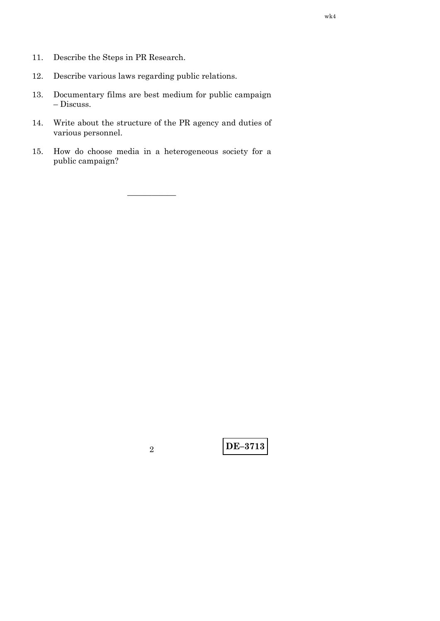- 11. Describe the Steps in PR Research.
- Describe various laws regarding public relations.  $12. \,$
- Documentary films are best medium for public campaign 13.  $-$  Discuss.
- Write about the structure of the PR agency and duties of 14. various personnel.
- How do choose media in a heterogeneous society for a 15. public campaign?

 $\overline{2}$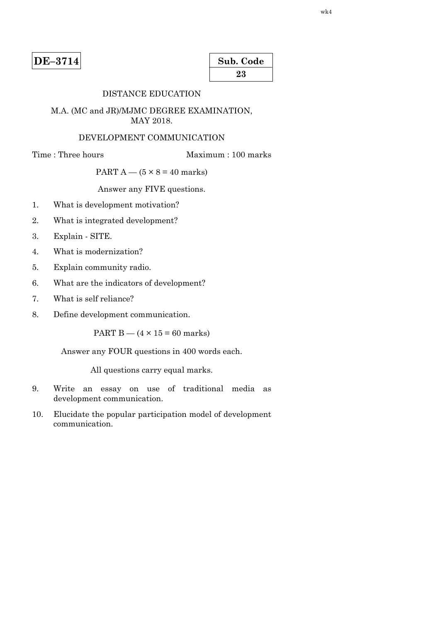| Sub. Code |  |
|-----------|--|
| 23        |  |

# DISTANCE EDUCATION

#### M.A. (MC and JR)/MJMC DEGREE EXAMINATION, MAY 2018.

# DEVELOPMENT COMMUNICATION

Time : Three hours Maximum : 100 marks

# PART  $A - (5 \times 8 = 40$  marks)

Answer any FIVE questions.

- 1. What is development motivation?
- 2. What is integrated development?
- 3. Explain SITE.
- 4. What is modernization?
- 5. Explain community radio.
- 6. What are the indicators of development?
- 7. What is self reliance?
- 8. Define development communication.

PART  $B - (4 \times 15 = 60$  marks)

Answer any FOUR questions in 400 words each.

- 9. Write an essay on use of traditional media as development communication.
- 10. Elucidate the popular participation model of development communication.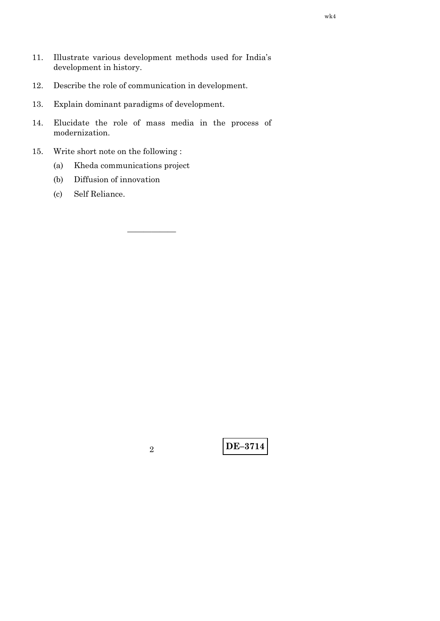- 11. Illustrate various development methods used for India's development in history.
- 12. Describe the role of communication in development.
- 13. Explain dominant paradigms of development.
- 14. Elucidate the role of mass media in the process of modernization.

——————

- 15. Write short note on the following :
	- (a) Kheda communications project
	- (b) Diffusion of innovation
	- (c) Self Reliance.

**DE–3714** <sup>2</sup>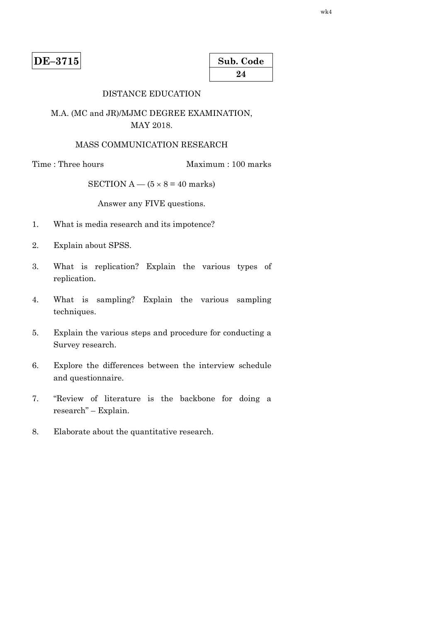| Sub. Code |  |
|-----------|--|
| 24        |  |

# DISTANCE EDUCATION

# M.A. (MC and JR)/MJMC DEGREE EXAMINATION, MAY 2018.

# MASS COMMUNICATION RESEARCH

Time : Three hours Maximum : 100 marks

SECTION A —  $(5 \times 8 = 40$  marks)

Answer any FIVE questions.

- 1. What is media research and its impotence?
- 2. Explain about SPSS.
- 3. What is replication? Explain the various types of replication.
- 4. What is sampling? Explain the various sampling techniques.
- 5. Explain the various steps and procedure for conducting a Survey research.
- 6. Explore the differences between the interview schedule and questionnaire.
- 7. "Review of literature is the backbone for doing a research" – Explain.
- 8. Elaborate about the quantitative research.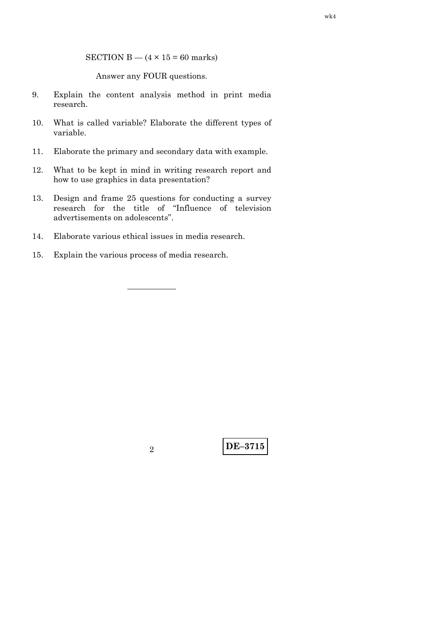SECTION B  $-$  (4  $\times$  15 = 60 marks)

Answer any FOUR questions.

- 9. Explain the content analysis method in print media research.
- 10. What is called variable? Elaborate the different types of variable.
- 11. Elaborate the primary and secondary data with example.
- 12. What to be kept in mind in writing research report and how to use graphics in data presentation?
- 13. Design and frame 25 questions for conducting a survey research for the title of "Influence of television advertisements on adolescents".

——————

- 14. Elaborate various ethical issues in media research.
- 15. Explain the various process of media research.

**DE–3715** <sup>2</sup>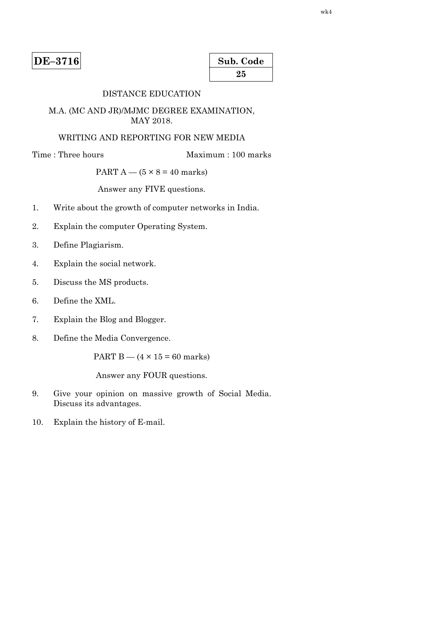| Sub. Code |  |
|-----------|--|
| 25        |  |

# DISTANCE EDUCATION

#### M.A. (MC AND JR)/MJMC DEGREE EXAMINATION, MAY 2018.

# WRITING AND REPORTING FOR NEW MEDIA

Time : Three hours Maximum : 100 marks

# PART  $A - (5 \times 8 = 40$  marks)

Answer any FIVE questions.

- 1. Write about the growth of computer networks in India.
- 2. Explain the computer Operating System.
- 3. Define Plagiarism.
- 4. Explain the social network.
- 5. Discuss the MS products.
- 6. Define the XML.
- 7. Explain the Blog and Blogger.
- 8. Define the Media Convergence.

PART B —  $(4 \times 15 = 60$  marks)

- 9. Give your opinion on massive growth of Social Media. Discuss its advantages.
- 10. Explain the history of E-mail.